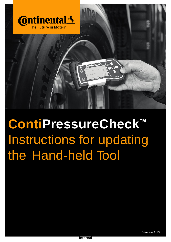

# **ContiPressureCheck ™** Instructions for updating the Hand-held Tool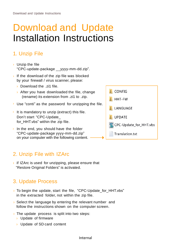# Download and Update Installation Instructions

## 1. Unzip File

- $\rightarrow$  Unzip the file "CPC-update-package \_\_yyyy-mm-dd.zip".
- If the download of the zip file was blocked by your firewall / virus scanner, please:
	- › Download the .zi1 file.
	- $\rightarrow$  After you have downloaded the file, change (rename) its extension from .zi1 to .zip.
- $\rightarrow$  Use "conti" as the password for unzipping the file.
- It is mandatory to unzip (extract) this file. Don't start "CPC-Update\_ for\_HHT.vbs" within the zip file.
- $\rightarrow$  In the end, you should have the folder "CPC-update-package yyyy-mm-dd.zip" on your computer with the following content.

### 2. Unzip File with IZArc

 $\rightarrow$  if IZArc is used for unzipping, please ensure that "Restore Original Folders" is activated.

### 3. Update Process

- › To begin the update, start the file, "CPC-Update\_for\_HHT.vbs" in the extracted folder, not within the zip file.
- › Select the language by entering the relevant number and follow the instructions shown on the computer screen.
- $\rightarrow$  The update process is split into two steps:
	- › Update of firmware
	- › Update of SD card content



#### Internal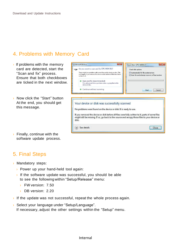#### 4. Problems with Memory Card

- $\rightarrow$  If problems with the memory card are detected, start the "Scan and fix" process. Ensure that both checkboxes are ticked in the next window.
- › Now click the "Start" button At the end, you should get this message.
- $\rightarrow$  Finally, continue with the software update process.

#### 5. Final Steps

- › Mandatory steps:
	- › Power up your hand-held tool again:
	- $\rightarrow$  If the software update was successful, you should be able to see the following within "Setup/Release" menu:
		- › FW version: 7.50
		- › DB version: 2.20
- $\rightarrow$  If the update was not successful, repeat the whole process again.
- › Select your language under "Setup/Language". If necessary, adjust the other settings within the "Setup" menu.